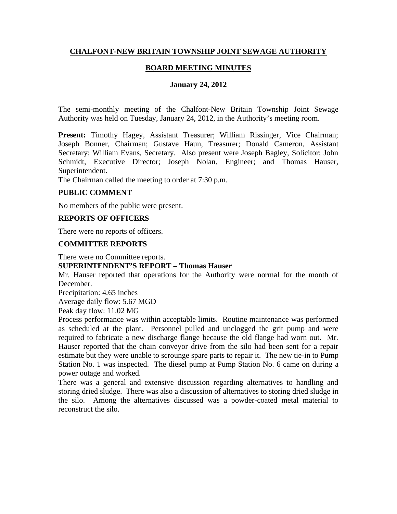# **CHALFONT-NEW BRITAIN TOWNSHIP JOINT SEWAGE AUTHORITY**

# **BOARD MEETING MINUTES**

## **January 24, 2012**

The semi-monthly meeting of the Chalfont-New Britain Township Joint Sewage Authority was held on Tuesday, January 24, 2012, in the Authority's meeting room.

**Present:** Timothy Hagey, Assistant Treasurer; William Rissinger, Vice Chairman; Joseph Bonner, Chairman; Gustave Haun, Treasurer; Donald Cameron, Assistant Secretary; William Evans, Secretary. Also present were Joseph Bagley, Solicitor; John Schmidt, Executive Director; Joseph Nolan, Engineer; and Thomas Hauser, Superintendent.

The Chairman called the meeting to order at 7:30 p.m.

# **PUBLIC COMMENT**

No members of the public were present.

## **REPORTS OF OFFICERS**

There were no reports of officers.

## **COMMITTEE REPORTS**

There were no Committee reports.

## **SUPERINTENDENT'S REPORT – Thomas Hauser**

Mr. Hauser reported that operations for the Authority were normal for the month of December.

Precipitation: 4.65 inches

Average daily flow: 5.67 MGD

Peak day flow: 11.02 MG

Process performance was within acceptable limits. Routine maintenance was performed as scheduled at the plant. Personnel pulled and unclogged the grit pump and were required to fabricate a new discharge flange because the old flange had worn out. Mr. Hauser reported that the chain conveyor drive from the silo had been sent for a repair estimate but they were unable to scrounge spare parts to repair it. The new tie-in to Pump Station No. 1 was inspected. The diesel pump at Pump Station No. 6 came on during a power outage and worked.

There was a general and extensive discussion regarding alternatives to handling and storing dried sludge. There was also a discussion of alternatives to storing dried sludge in the silo. Among the alternatives discussed was a powder-coated metal material to reconstruct the silo.